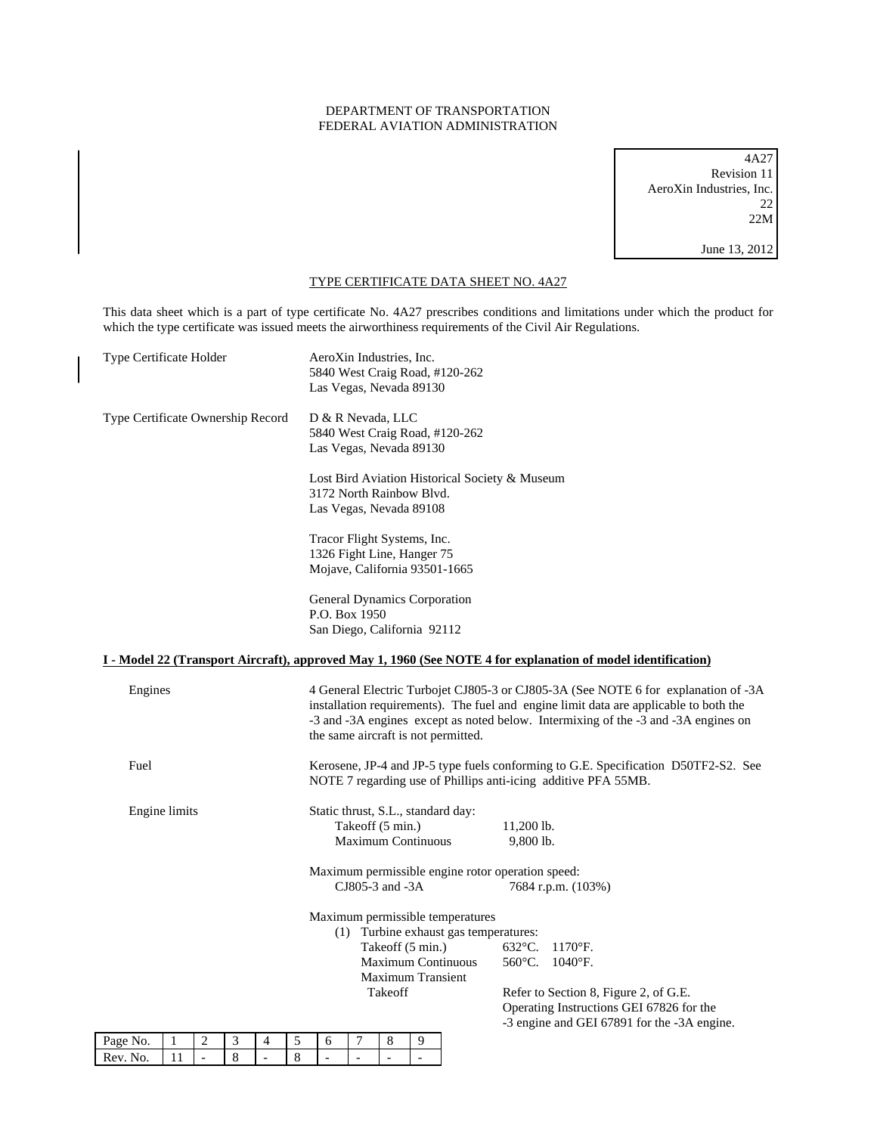## DEPARTMENT OF TRANSPORTATION FEDERAL AVIATION ADMINISTRATION

4A27 Revision 11 AeroXin Industries, Inc. 22 22M June 13, 2012

## TYPE CERTIFICATE DATA SHEET NO. 4A27

This data sheet which is a part of type certificate No. 4A27 prescribes conditions and limitations under which the product for which the type certificate was issued meets the airworthiness requirements of the Civil Air Regulations.

| Type Certificate Holder           |         |                     |        |                     | AeroXin Industries, Inc.<br>5840 West Craig Road, #120-262<br>Las Vegas, Nevada 89130                                                                                                                                                                                                                    |                     |                     |                                                                                      |                     |  |                                  |                                                                               |                                                                                                                                                                                 |
|-----------------------------------|---------|---------------------|--------|---------------------|----------------------------------------------------------------------------------------------------------------------------------------------------------------------------------------------------------------------------------------------------------------------------------------------------------|---------------------|---------------------|--------------------------------------------------------------------------------------|---------------------|--|----------------------------------|-------------------------------------------------------------------------------|---------------------------------------------------------------------------------------------------------------------------------------------------------------------------------|
| Type Certificate Ownership Record |         |                     |        |                     | D & R Nevada, LLC<br>5840 West Craig Road, #120-262<br>Las Vegas, Nevada 89130                                                                                                                                                                                                                           |                     |                     |                                                                                      |                     |  |                                  |                                                                               |                                                                                                                                                                                 |
|                                   |         |                     |        |                     | Lost Bird Aviation Historical Society & Museum<br>3172 North Rainbow Blvd.<br>Las Vegas, Nevada 89108                                                                                                                                                                                                    |                     |                     |                                                                                      |                     |  |                                  |                                                                               |                                                                                                                                                                                 |
|                                   |         |                     |        |                     | Tracor Flight Systems, Inc.<br>1326 Fight Line, Hanger 75<br>Mojave, California 93501-1665                                                                                                                                                                                                               |                     |                     |                                                                                      |                     |  |                                  |                                                                               |                                                                                                                                                                                 |
|                                   |         |                     |        |                     | General Dynamics Corporation<br>P.O. Box 1950<br>San Diego, California 92112                                                                                                                                                                                                                             |                     |                     |                                                                                      |                     |  |                                  |                                                                               |                                                                                                                                                                                 |
|                                   |         |                     |        |                     |                                                                                                                                                                                                                                                                                                          |                     |                     |                                                                                      |                     |  |                                  |                                                                               | I - Model 22 (Transport Aircraft), approved May 1, 1960 (See NOTE 4 for explanation of model identification)                                                                    |
| Engines                           |         |                     |        |                     | 4 General Electric Turbojet CJ805-3 or CJ805-3A (See NOTE 6 for explanation of -3A<br>installation requirements). The fuel and engine limit data are applicable to both the<br>-3 and -3A engines except as noted below. Intermixing of the -3 and -3A engines on<br>the same aircraft is not permitted. |                     |                     |                                                                                      |                     |  |                                  |                                                                               |                                                                                                                                                                                 |
| Fuel                              |         |                     |        |                     | Kerosene, JP-4 and JP-5 type fuels conforming to G.E. Specification D50TF2-S2. See<br>NOTE 7 regarding use of Phillips anti-icing additive PFA 55MB.                                                                                                                                                     |                     |                     |                                                                                      |                     |  |                                  |                                                                               |                                                                                                                                                                                 |
| Engine limits                     |         |                     |        |                     | Static thrust, S.L., standard day:<br>Takeoff (5 min.)<br>$11,200$ lb.<br><b>Maximum Continuous</b><br>9,800 lb.                                                                                                                                                                                         |                     |                     |                                                                                      |                     |  |                                  |                                                                               |                                                                                                                                                                                 |
|                                   |         |                     |        |                     | Maximum permissible engine rotor operation speed:<br>$CJ805-3$ and $-3A$<br>7684 r.p.m. (103%)                                                                                                                                                                                                           |                     |                     |                                                                                      |                     |  |                                  |                                                                               |                                                                                                                                                                                 |
|                                   |         |                     |        |                     |                                                                                                                                                                                                                                                                                                          |                     |                     | Takeoff (5 min.)<br><b>Maximum Continuous</b><br><b>Maximum Transient</b><br>Takeoff |                     |  | Maximum permissible temperatures | (1) Turbine exhaust gas temperatures:<br>$632^{\circ}$ C.<br>$560^{\circ}$ C. | $1170$ <sup>o</sup> F.<br>$1040^{\circ}$ F.<br>Refer to Section 8, Figure 2, of G.E.<br>Operating Instructions GEI 67826 for the<br>-3 engine and GEI 67891 for the -3A engine. |
| Page No.<br>Rev. No.              | 1<br>11 | 2<br>$\overline{a}$ | 3<br>8 | 4<br>$\overline{a}$ | 5<br>8                                                                                                                                                                                                                                                                                                   | 6<br>$\overline{a}$ | 7<br>$\overline{a}$ | 8<br>$\overline{a}$                                                                  | 9<br>$\overline{a}$ |  |                                  |                                                                               |                                                                                                                                                                                 |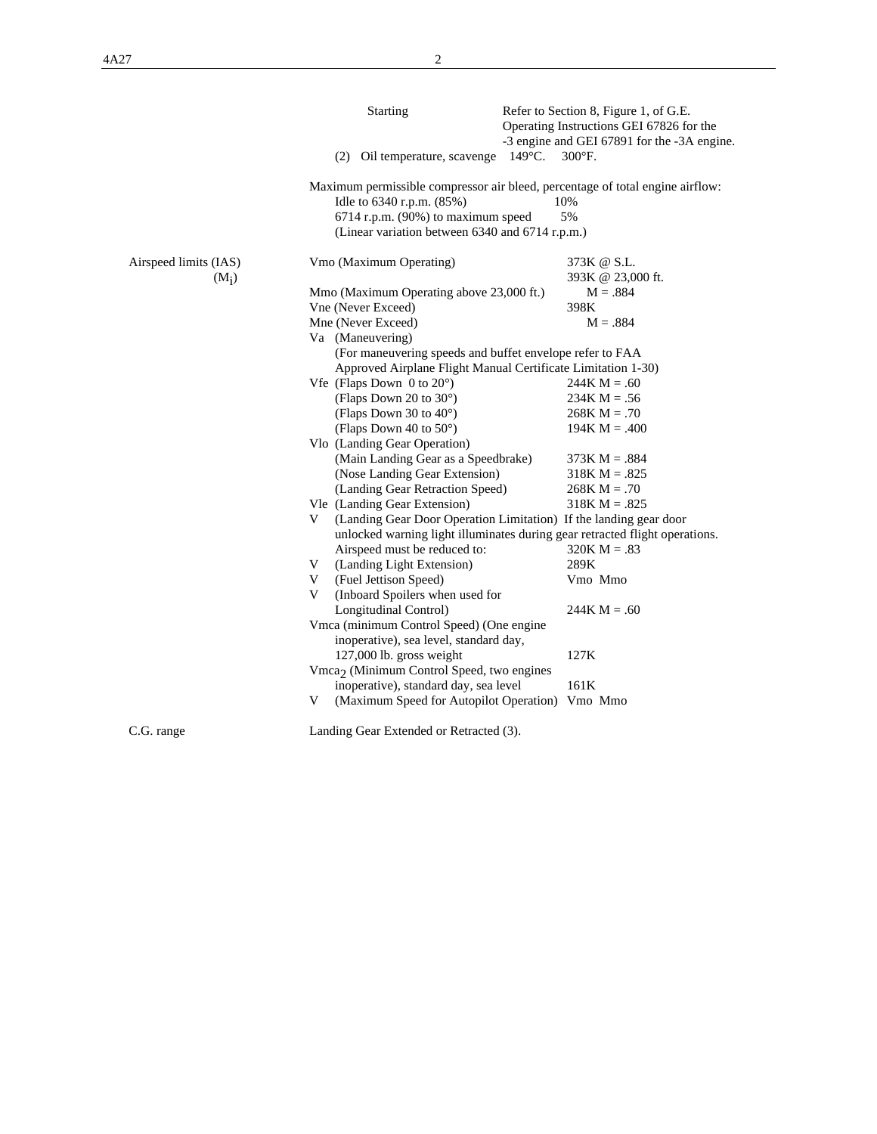|                       | Starting                                                                      | Refer to Section 8, Figure 1, of G.E.<br>Operating Instructions GEI 67826 for the<br>-3 engine and GEI 67891 for the -3A engine. |
|-----------------------|-------------------------------------------------------------------------------|----------------------------------------------------------------------------------------------------------------------------------|
|                       | (2) Oil temperature, scavenge 149°C.                                          | $300^{\circ}$ F.                                                                                                                 |
|                       | Maximum permissible compressor air bleed, percentage of total engine airflow: |                                                                                                                                  |
|                       | Idle to 6340 r.p.m. (85%)                                                     | 10%                                                                                                                              |
|                       | $6714$ r.p.m. (90%) to maximum speed                                          | 5%                                                                                                                               |
|                       | (Linear variation between 6340 and 6714 r.p.m.)                               |                                                                                                                                  |
| Airspeed limits (IAS) | Vmo (Maximum Operating)                                                       | 373K @ S.L.                                                                                                                      |
| $(M_i)$               |                                                                               | 393K @ 23,000 ft.                                                                                                                |
|                       | Mmo (Maximum Operating above 23,000 ft.)                                      | $M = .884$                                                                                                                       |
|                       | Vne (Never Exceed)                                                            | 398K                                                                                                                             |
|                       | Mne (Never Exceed)                                                            | $M = .884$                                                                                                                       |
|                       | Va (Maneuvering)                                                              |                                                                                                                                  |
|                       | (For maneuvering speeds and buffet envelope refer to FAA                      |                                                                                                                                  |
|                       | Approved Airplane Flight Manual Certificate Limitation 1-30)                  |                                                                                                                                  |
|                       | Vfe (Flaps Down $0$ to $20^{\circ}$ )                                         | $244K M = .60$                                                                                                                   |
|                       | (Flaps Down 20 to $30^{\circ}$ )                                              | $234K M = .56$                                                                                                                   |
|                       | (Flaps Down 30 to 40°)                                                        | $268K M = .70$                                                                                                                   |
|                       | (Flaps Down 40 to 50°)                                                        | $194K M = .400$                                                                                                                  |
|                       | Vlo (Landing Gear Operation)                                                  |                                                                                                                                  |
|                       | (Main Landing Gear as a Speedbrake)                                           | $373K M = .884$                                                                                                                  |
|                       | (Nose Landing Gear Extension)                                                 | $318K M = .825$                                                                                                                  |
|                       | (Landing Gear Retraction Speed)                                               | $268K M = .70$                                                                                                                   |
|                       | Vle (Landing Gear Extension)                                                  | $318K M = .825$                                                                                                                  |
|                       | (Landing Gear Door Operation Limitation) If the landing gear door<br>V        |                                                                                                                                  |
|                       | unlocked warning light illuminates during gear retracted flight operations.   |                                                                                                                                  |
|                       | Airspeed must be reduced to:                                                  | $320K M = .83$                                                                                                                   |
|                       | (Landing Light Extension)<br>V.                                               | 289K                                                                                                                             |
|                       | V (Fuel Jettison Speed)                                                       | Vmo Mmo                                                                                                                          |
|                       | V<br>(Inboard Spoilers when used for                                          |                                                                                                                                  |
|                       | Longitudinal Control)                                                         | $244K M = .60$                                                                                                                   |
|                       | Vmca (minimum Control Speed) (One engine                                      |                                                                                                                                  |
|                       | inoperative), sea level, standard day,                                        |                                                                                                                                  |
|                       | 127,000 lb. gross weight                                                      | 127K                                                                                                                             |
|                       | Vmca <sub>2</sub> (Minimum Control Speed, two engines                         |                                                                                                                                  |
|                       | inoperative), standard day, sea level                                         | 161K                                                                                                                             |
|                       | (Maximum Speed for Autopilot Operation) Vmo Mmo<br>V                          |                                                                                                                                  |
| C.G. range            | Landing Gear Extended or Retracted (3).                                       |                                                                                                                                  |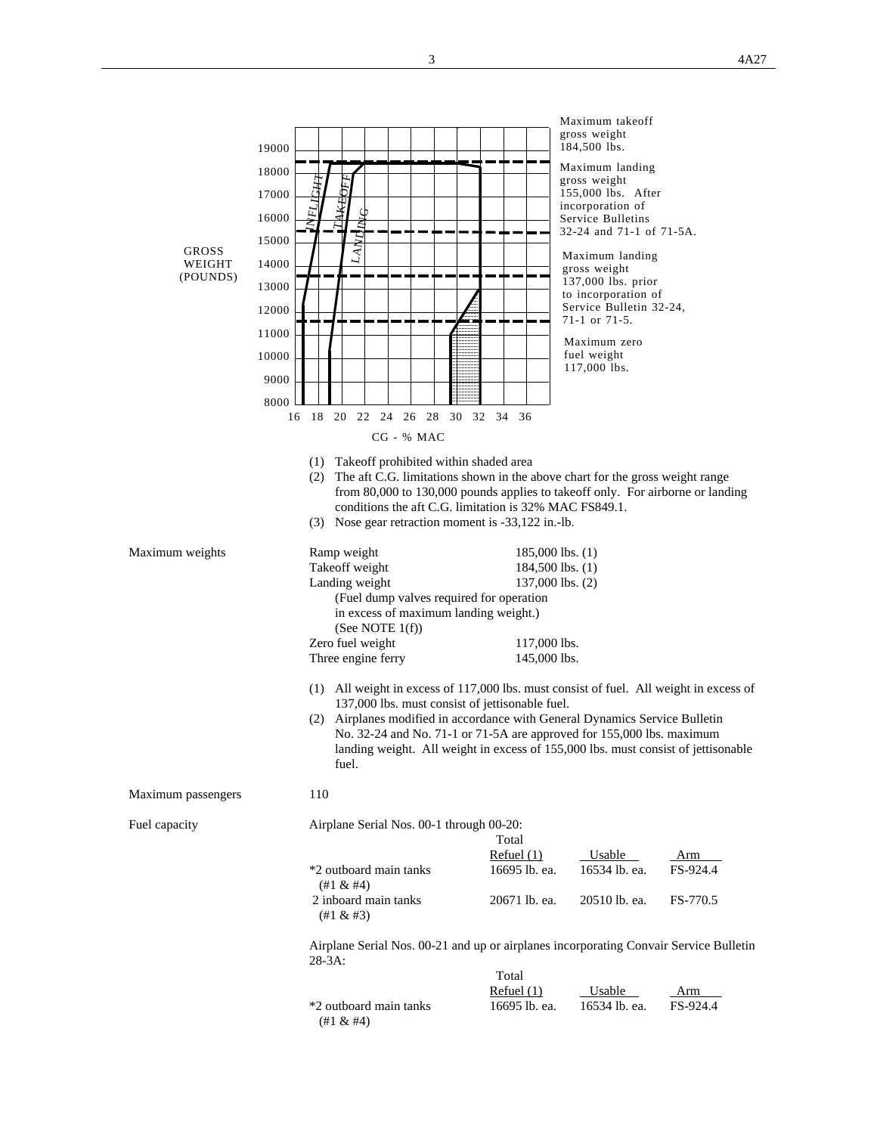| <b>GROSS</b><br>WEIGHT<br>(POUNDS) | 19000<br>18000<br><b>L'AKEOFT</b><br>17000<br>16000<br>LAND<br>15000<br>14000<br>13000<br>12000<br>11000                                                                                                                                                                                                                                                                                        |                                                                                              | Maximum takeoff<br>gross weight<br>184,500 lbs.<br>Maximum landing<br>gross weight<br>155,000 lbs. After<br>incorporation of<br>Service Bulletins<br>32-24 and 71-1 of 71-5A.<br>Maximum landing<br>gross weight<br>137,000 lbs. prior<br>to incorporation of<br>Service Bulletin 32-24,<br>71-1 or 71-5. |                 |
|------------------------------------|-------------------------------------------------------------------------------------------------------------------------------------------------------------------------------------------------------------------------------------------------------------------------------------------------------------------------------------------------------------------------------------------------|----------------------------------------------------------------------------------------------|-----------------------------------------------------------------------------------------------------------------------------------------------------------------------------------------------------------------------------------------------------------------------------------------------------------|-----------------|
|                                    | 10000<br>9000<br>8000<br>18 20 22 24<br>16<br>$CG - % MAC$                                                                                                                                                                                                                                                                                                                                      | 26 28 30 32 34 36                                                                            | Maximum zero<br>fuel weight<br>117,000 lbs.                                                                                                                                                                                                                                                               |                 |
|                                    | Takeoff prohibited within shaded area<br>(1)<br>(2) The aft C.G. limitations shown in the above chart for the gross weight range<br>from 80,000 to 130,000 pounds applies to takeoff only. For airborne or landing<br>conditions the aft C.G. limitation is 32% MAC FS849.1.<br>(3) Nose gear retraction moment is -33,122 in.-lb.                                                              |                                                                                              |                                                                                                                                                                                                                                                                                                           |                 |
| Maximum weights                    | Ramp weight<br>Takeoff weight<br>Landing weight<br>(Fuel dump valves required for operation<br>in excess of maximum landing weight.)<br>(See NOTE $1(f)$ )<br>Zero fuel weight<br>Three engine ferry                                                                                                                                                                                            | $185,000$ lbs. $(1)$<br>184,500 lbs. (1)<br>137,000 lbs. (2)<br>117,000 lbs.<br>145,000 lbs. |                                                                                                                                                                                                                                                                                                           |                 |
|                                    | (1) All weight in excess of 117,000 lbs. must consist of fuel. All weight in excess of<br>137,000 lbs. must consist of jettisonable fuel.<br>(2) Airplanes modified in accordance with General Dynamics Service Bulletin<br>No. 32-24 and No. 71-1 or 71-5A are approved for 155,000 lbs. maximum<br>landing weight. All weight in excess of 155,000 lbs. must consist of jettisonable<br>fuel. |                                                                                              |                                                                                                                                                                                                                                                                                                           |                 |
| Maximum passengers                 | 110                                                                                                                                                                                                                                                                                                                                                                                             |                                                                                              |                                                                                                                                                                                                                                                                                                           |                 |
| Fuel capacity                      | Airplane Serial Nos. 00-1 through 00-20:                                                                                                                                                                                                                                                                                                                                                        | Total                                                                                        |                                                                                                                                                                                                                                                                                                           |                 |
|                                    | *2 outboard main tanks<br>(#1 & 44)                                                                                                                                                                                                                                                                                                                                                             | Refuel $(1)$<br>16695 lb. ea.                                                                | Usable<br>16534 lb. ea.                                                                                                                                                                                                                                                                                   | Arm<br>FS-924.4 |
|                                    | 2 inboard main tanks<br>(#1 & 43)                                                                                                                                                                                                                                                                                                                                                               | 20671 lb. ea.                                                                                | 20510 lb. ea.                                                                                                                                                                                                                                                                                             | FS-770.5        |
|                                    | Airplane Serial Nos. 00-21 and up or airplanes incorporating Convair Service Bulletin<br>$28-3A$ :                                                                                                                                                                                                                                                                                              |                                                                                              |                                                                                                                                                                                                                                                                                                           |                 |
|                                    |                                                                                                                                                                                                                                                                                                                                                                                                 | Total<br>Refuel $(1)$                                                                        | Usable                                                                                                                                                                                                                                                                                                    | <b>Arm</b>      |
|                                    | *2 outboard main tanks<br>$(\#1 \& \#4)$                                                                                                                                                                                                                                                                                                                                                        | 16695 lb. ea.                                                                                | 16534 lb. ea.                                                                                                                                                                                                                                                                                             | FS-924.4        |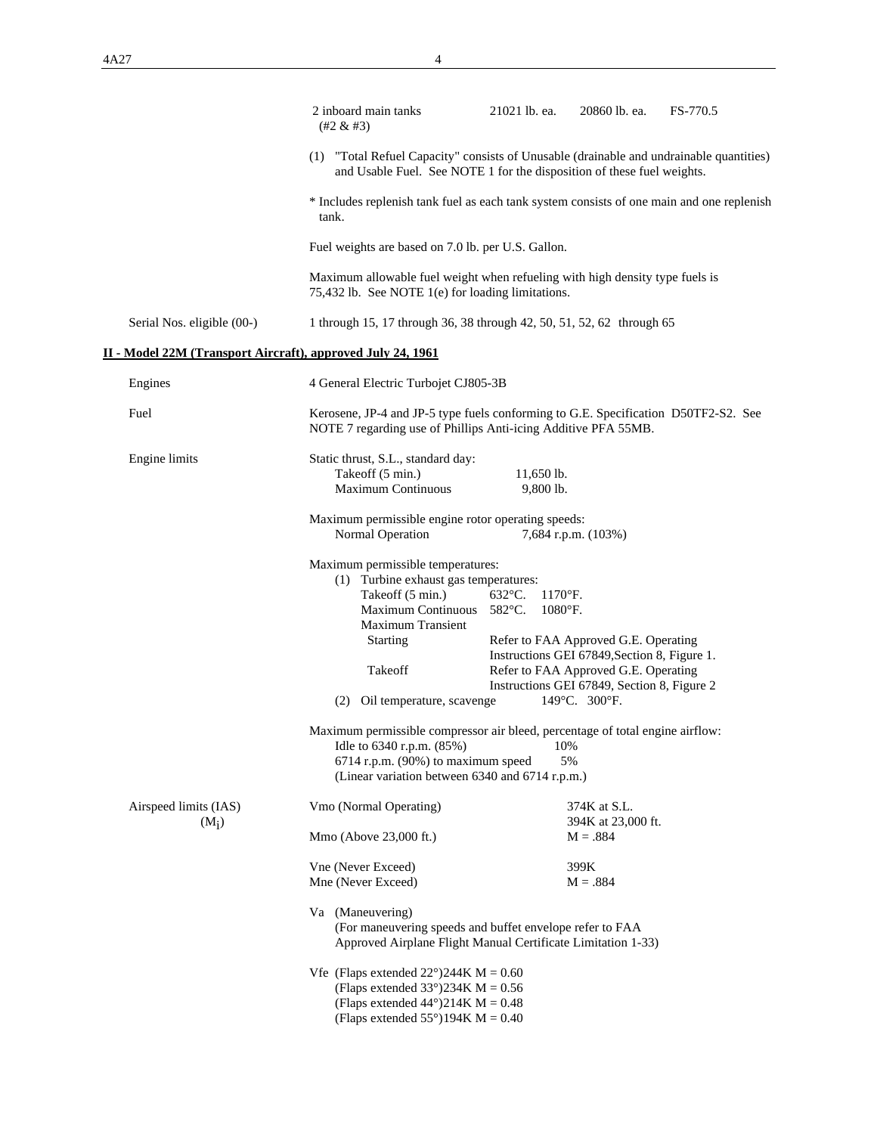|                                                             | 2 inboard main tanks<br>$(42 \& 43)$                                                                                                                                                                                                                                                                                                                                                                                          | 21021 lb. ea.                                       | 20860 lb. ea.                                                                                                                                                                                      | FS-770.5 |
|-------------------------------------------------------------|-------------------------------------------------------------------------------------------------------------------------------------------------------------------------------------------------------------------------------------------------------------------------------------------------------------------------------------------------------------------------------------------------------------------------------|-----------------------------------------------------|----------------------------------------------------------------------------------------------------------------------------------------------------------------------------------------------------|----------|
|                                                             | (1) "Total Refuel Capacity" consists of Unusable (drainable and undrainable quantities)<br>and Usable Fuel. See NOTE 1 for the disposition of these fuel weights.                                                                                                                                                                                                                                                             |                                                     |                                                                                                                                                                                                    |          |
|                                                             | * Includes replenish tank fuel as each tank system consists of one main and one replenish<br>tank.                                                                                                                                                                                                                                                                                                                            |                                                     |                                                                                                                                                                                                    |          |
|                                                             | Fuel weights are based on 7.0 lb. per U.S. Gallon.                                                                                                                                                                                                                                                                                                                                                                            |                                                     |                                                                                                                                                                                                    |          |
|                                                             | Maximum allowable fuel weight when refueling with high density type fuels is<br>75,432 lb. See NOTE 1(e) for loading limitations.                                                                                                                                                                                                                                                                                             |                                                     |                                                                                                                                                                                                    |          |
| Serial Nos. eligible (00-)                                  | 1 through 15, 17 through 36, 38 through 42, 50, 51, 52, 62 through 65                                                                                                                                                                                                                                                                                                                                                         |                                                     |                                                                                                                                                                                                    |          |
| II - Model 22M (Transport Aircraft), approved July 24, 1961 |                                                                                                                                                                                                                                                                                                                                                                                                                               |                                                     |                                                                                                                                                                                                    |          |
| Engines                                                     | 4 General Electric Turbojet CJ805-3B                                                                                                                                                                                                                                                                                                                                                                                          |                                                     |                                                                                                                                                                                                    |          |
| Fuel                                                        | Kerosene, JP-4 and JP-5 type fuels conforming to G.E. Specification D50TF2-S2. See<br>NOTE 7 regarding use of Phillips Anti-icing Additive PFA 55MB.                                                                                                                                                                                                                                                                          |                                                     |                                                                                                                                                                                                    |          |
| Engine limits                                               | Static thrust, S.L., standard day:<br>Takeoff (5 min.)<br><b>Maximum Continuous</b>                                                                                                                                                                                                                                                                                                                                           | $11,650$ lb.<br>9,800 lb.                           |                                                                                                                                                                                                    |          |
|                                                             | Maximum permissible engine rotor operating speeds:<br>Normal Operation                                                                                                                                                                                                                                                                                                                                                        |                                                     | 7,684 r.p.m. (103%)                                                                                                                                                                                |          |
|                                                             | Maximum permissible temperatures:<br>(1) Turbine exhaust gas temperatures:<br>Takeoff (5 min.)<br>Maximum Continuous 582°C.<br><b>Maximum Transient</b><br><b>Starting</b><br>Takeoff<br>(2) Oil temperature, scavenge<br>Maximum permissible compressor air bleed, percentage of total engine airflow:<br>Idle to 6340 r.p.m. (85%)<br>6714 r.p.m. (90%) to maximum speed<br>(Linear variation between 6340 and 6714 r.p.m.) | $632^{\circ}$ C.<br>$1170$ °F.<br>$1080$ °F.<br>10% | Refer to FAA Approved G.E. Operating<br>Instructions GEI 67849, Section 8, Figure 1.<br>Refer to FAA Approved G.E. Operating<br>Instructions GEI 67849, Section 8, Figure 2<br>149°C. 300°F.<br>5% |          |
| Airspeed limits (IAS)<br>$(M_i)$                            | Vmo (Normal Operating)<br>Mmo (Above 23,000 ft.)                                                                                                                                                                                                                                                                                                                                                                              |                                                     | 374K at S.L.<br>394K at 23,000 ft.<br>$M = .884$                                                                                                                                                   |          |
|                                                             | Vne (Never Exceed)                                                                                                                                                                                                                                                                                                                                                                                                            |                                                     | 399K                                                                                                                                                                                               |          |
|                                                             | Mne (Never Exceed)<br>Va (Maneuvering)<br>(For maneuvering speeds and buffet envelope refer to FAA<br>Approved Airplane Flight Manual Certificate Limitation 1-33)<br>Vfe (Flaps extended $22^{\circ}$ )244K M = 0.60<br>(Flaps extended $33^{\circ}$ )234K M = 0.56                                                                                                                                                          |                                                     | $M = .884$                                                                                                                                                                                         |          |
|                                                             | (Flaps extended $44^{\circ}$ )214K M = 0.48<br>(Flaps extended $55^{\circ}$ )194K M = 0.40                                                                                                                                                                                                                                                                                                                                    |                                                     |                                                                                                                                                                                                    |          |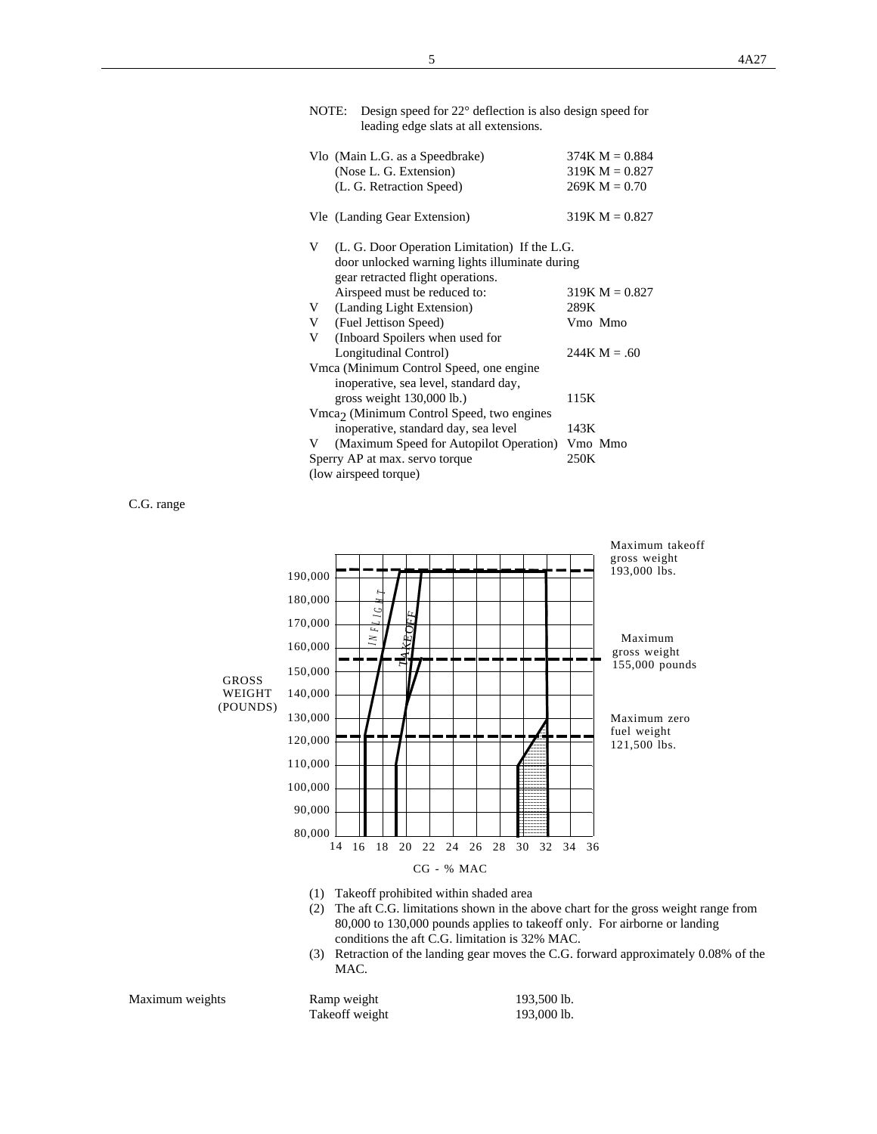| NOTE: Design speed for $22^{\circ}$ deflection is also design speed for |
|-------------------------------------------------------------------------|
| leading edge slats at all extensions.                                   |

|   | Vlo (Main L.G. as a Speedbrake)<br>(Nose L. G. Extension)<br>(L. G. Retraction Speed)                                                | $374K M = 0.884$<br>$319K M = 0.827$<br>$269K M = 0.70$ |
|---|--------------------------------------------------------------------------------------------------------------------------------------|---------------------------------------------------------|
|   | Vle (Landing Gear Extension)                                                                                                         | $319K M = 0.827$                                        |
| V | (L. G. Door Operation Limitation) If the L.G.<br>door unlocked warning lights illuminate during<br>gear retracted flight operations. |                                                         |
|   | Airspeed must be reduced to:                                                                                                         | $319K M = 0.827$                                        |
| V | (Landing Light Extension)                                                                                                            | 289K                                                    |
| V | (Fuel Jettison Speed)                                                                                                                | Vmo Mmo                                                 |
| V | (Inboard Spoilers when used for                                                                                                      |                                                         |
|   | Longitudinal Control)                                                                                                                | $244K M = .60$                                          |
|   | Vmca (Minimum Control Speed, one engine<br>inoperative, sea level, standard day,                                                     |                                                         |
|   | gross weight 130,000 lb.)                                                                                                            | 115K                                                    |
|   | $Vmca2$ (Minimum Control Speed, two engines                                                                                          |                                                         |
|   | inoperative, standard day, sea level                                                                                                 | 143K                                                    |
| V | (Maximum Speed for Autopilot Operation) Vmo Mmo                                                                                      |                                                         |
|   | Sperry AP at max. servo torque                                                                                                       | 250K                                                    |
|   | (low airspeed torque)                                                                                                                |                                                         |

C.G. range



- (1) Takeoff prohibited within shaded area
- (2) The aft C.G. limitations shown in the above chart for the gross weight range from 80,000 to 130,000 pounds applies to takeoff only. For airborne or landing conditions the aft C.G. limitation is 32% MAC.
- (3) Retraction of the landing gear moves the C.G. forward approximately 0.08% of the MAC.

| Maximum weights | Ramp weight     | 193,500 lb. |
|-----------------|-----------------|-------------|
|                 | Take off weight | 193,000 lb. |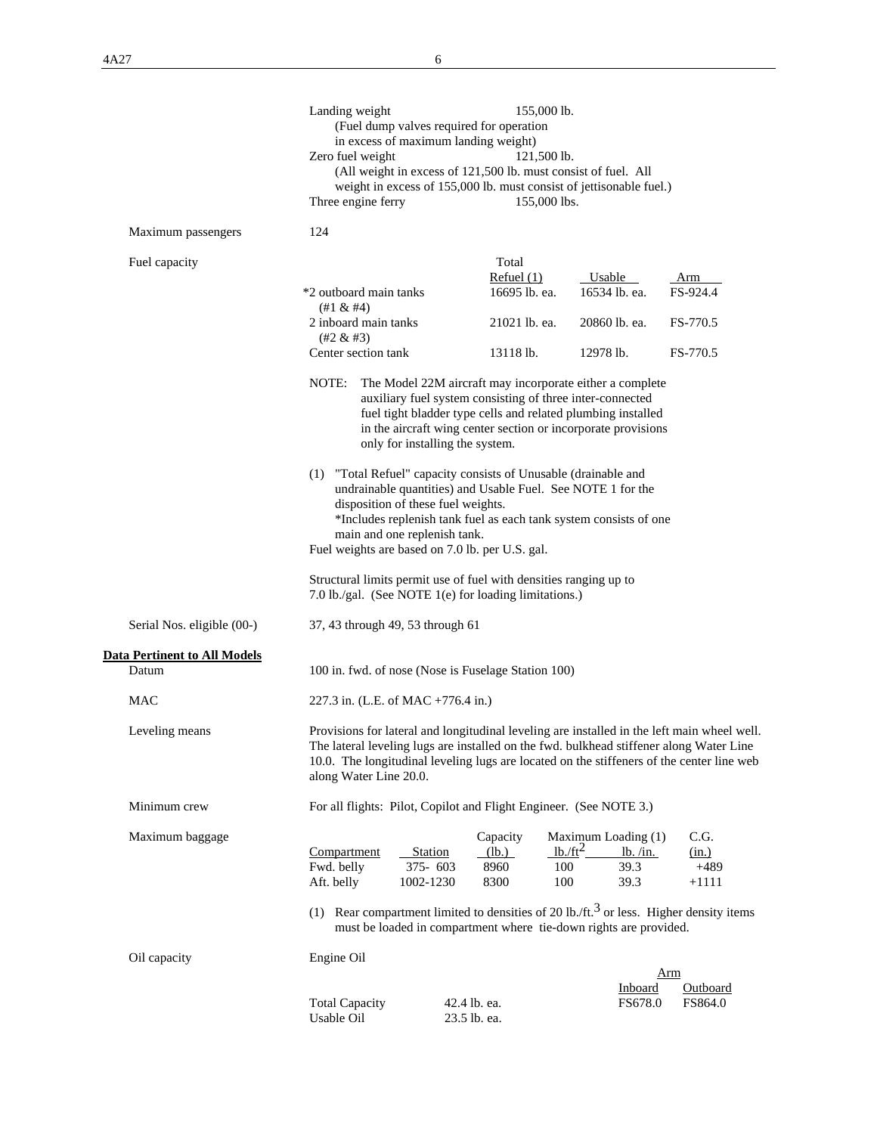|                                                     | Landing weight<br>Zero fuel weight<br>Three engine ferry                                                                                                                                                                                                                                           | in excess of maximum landing weight)                               | (Fuel dump valves required for operation<br>(All weight in excess of 121,500 lb. must consist of fuel. All<br>weight in excess of 155,000 lb. must consist of jettisonable fuel.) | 155,000 lb.<br>121,500 lb.<br>155,000 lbs. |                                                 |                                                                                                                                                                                                                                                                                     |
|-----------------------------------------------------|----------------------------------------------------------------------------------------------------------------------------------------------------------------------------------------------------------------------------------------------------------------------------------------------------|--------------------------------------------------------------------|-----------------------------------------------------------------------------------------------------------------------------------------------------------------------------------|--------------------------------------------|-------------------------------------------------|-------------------------------------------------------------------------------------------------------------------------------------------------------------------------------------------------------------------------------------------------------------------------------------|
| Maximum passengers                                  | 124                                                                                                                                                                                                                                                                                                |                                                                    |                                                                                                                                                                                   |                                            |                                                 |                                                                                                                                                                                                                                                                                     |
| Fuel capacity                                       | *2 outboard main tanks<br>$(+1 \& \#4)$                                                                                                                                                                                                                                                            |                                                                    | Total<br>Refuel $(1)$<br>16695 lb. ea.                                                                                                                                            |                                            | Usable<br>16534 lb. ea.                         | Arm<br>FS-924.4                                                                                                                                                                                                                                                                     |
|                                                     | 2 inboard main tanks<br>$(42 \& 43)$                                                                                                                                                                                                                                                               |                                                                    | 21021 lb. ea.                                                                                                                                                                     |                                            | 20860 lb. ea.                                   | FS-770.5                                                                                                                                                                                                                                                                            |
|                                                     | Center section tank                                                                                                                                                                                                                                                                                |                                                                    | 13118 lb.                                                                                                                                                                         |                                            | 12978 lb.                                       | FS-770.5                                                                                                                                                                                                                                                                            |
|                                                     | The Model 22M aircraft may incorporate either a complete<br>NOTE:<br>auxiliary fuel system consisting of three inter-connected<br>fuel tight bladder type cells and related plumbing installed<br>in the aircraft wing center section or incorporate provisions<br>only for installing the system. |                                                                    |                                                                                                                                                                                   |                                            |                                                 |                                                                                                                                                                                                                                                                                     |
|                                                     | (1) "Total Refuel" capacity consists of Unusable (drainable and<br>Fuel weights are based on 7.0 lb. per U.S. gal.                                                                                                                                                                                 | disposition of these fuel weights.<br>main and one replenish tank. | undrainable quantities) and Usable Fuel. See NOTE 1 for the<br>*Includes replenish tank fuel as each tank system consists of one                                                  |                                            |                                                 |                                                                                                                                                                                                                                                                                     |
|                                                     | Structural limits permit use of fuel with densities ranging up to<br>7.0 lb./gal. (See NOTE 1(e) for loading limitations.)                                                                                                                                                                         |                                                                    |                                                                                                                                                                                   |                                            |                                                 |                                                                                                                                                                                                                                                                                     |
| Serial Nos. eligible (00-)                          | 37, 43 through 49, 53 through 61                                                                                                                                                                                                                                                                   |                                                                    |                                                                                                                                                                                   |                                            |                                                 |                                                                                                                                                                                                                                                                                     |
| <u><b>Data Pertinent to All Models</b></u><br>Datum | 100 in. fwd. of nose (Nose is Fuselage Station 100)                                                                                                                                                                                                                                                |                                                                    |                                                                                                                                                                                   |                                            |                                                 |                                                                                                                                                                                                                                                                                     |
| <b>MAC</b>                                          | 227.3 in. (L.E. of MAC +776.4 in.)                                                                                                                                                                                                                                                                 |                                                                    |                                                                                                                                                                                   |                                            |                                                 |                                                                                                                                                                                                                                                                                     |
| Leveling means                                      | along Water Line 20.0.                                                                                                                                                                                                                                                                             |                                                                    |                                                                                                                                                                                   |                                            |                                                 | Provisions for lateral and longitudinal leveling are installed in the left main wheel well.<br>The lateral leveling lugs are installed on the fwd. bulkhead stiffener along Water Line<br>10.0. The longitudinal leveling lugs are located on the stiffeners of the center line web |
| Minimum crew                                        | For all flights: Pilot, Copilot and Flight Engineer. (See NOTE 3.)                                                                                                                                                                                                                                 |                                                                    |                                                                                                                                                                                   |                                            |                                                 |                                                                                                                                                                                                                                                                                     |
| Maximum baggage                                     | Compartment<br>Fwd. belly<br>Aft. belly                                                                                                                                                                                                                                                            | Station<br>375-603<br>1002-1230                                    | Capacity<br>(lb.)<br>8960<br>8300                                                                                                                                                 | $1b$ ./ft <sup>2</sup><br>100<br>100       | Maximum Loading (1)<br>lb. /in.<br>39.3<br>39.3 | C.G.<br>(in.)<br>$+489$<br>$+1111$                                                                                                                                                                                                                                                  |
|                                                     |                                                                                                                                                                                                                                                                                                    |                                                                    | must be loaded in compartment where tie-down rights are provided.                                                                                                                 |                                            |                                                 | (1) Rear compartment limited to densities of 20 lb./ft. <sup>3</sup> or less. Higher density items                                                                                                                                                                                  |
| Oil capacity                                        | Engine Oil                                                                                                                                                                                                                                                                                         |                                                                    |                                                                                                                                                                                   |                                            | Inboard                                         | Arm<br>Outboard                                                                                                                                                                                                                                                                     |
|                                                     | <b>Total Capacity</b><br>Usable Oil                                                                                                                                                                                                                                                                |                                                                    | 42.4 lb. ea.<br>23.5 lb. ea.                                                                                                                                                      |                                            | FS678.0                                         | FS864.0                                                                                                                                                                                                                                                                             |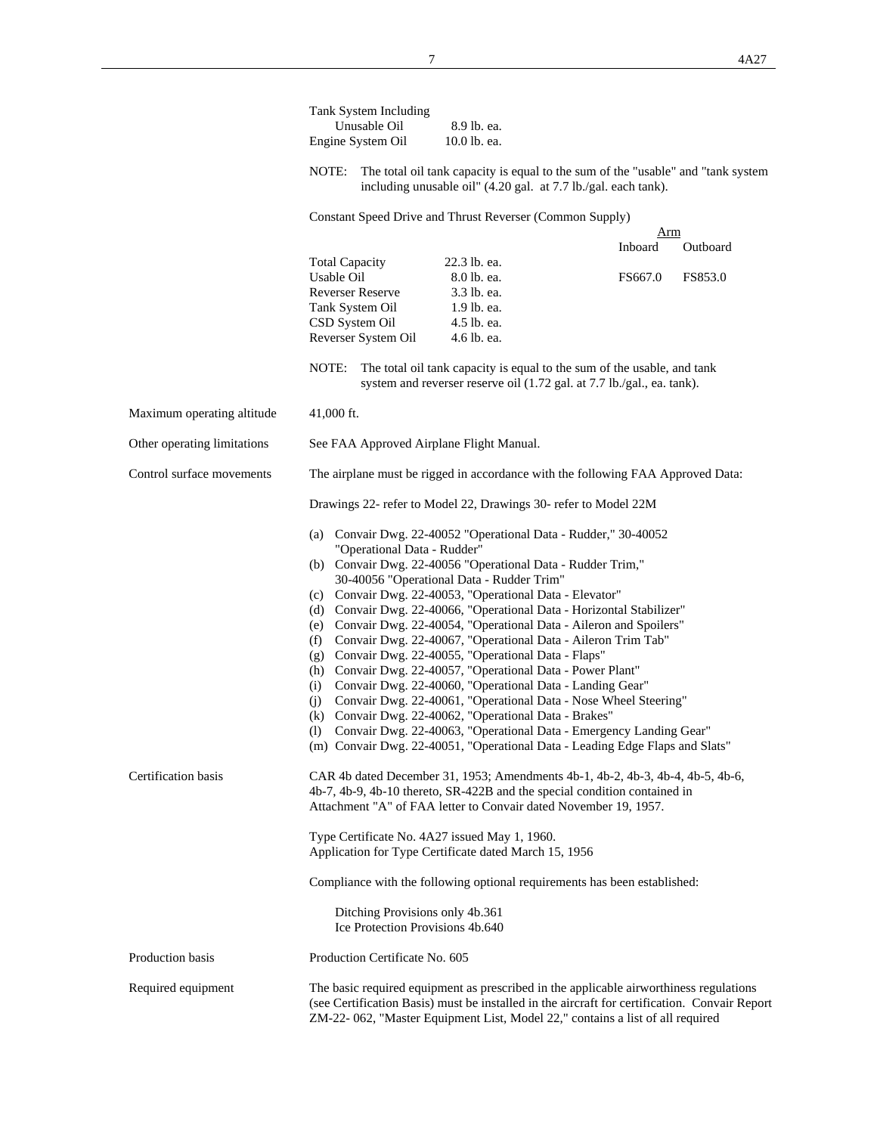|                             | Tank System Including<br>Unusable Oil<br>Engine System Oil                                               | 8.9 lb. ea.<br>10.0 lb. ea.                                                                                                                       |                                                                                                                                                                                         |  |  |  |
|-----------------------------|----------------------------------------------------------------------------------------------------------|---------------------------------------------------------------------------------------------------------------------------------------------------|-----------------------------------------------------------------------------------------------------------------------------------------------------------------------------------------|--|--|--|
|                             | NOTE:                                                                                                    | including unusable oil" (4.20 gal. at 7.7 lb./gal. each tank).                                                                                    | The total oil tank capacity is equal to the sum of the "usable" and "tank system"                                                                                                       |  |  |  |
|                             |                                                                                                          | Constant Speed Drive and Thrust Reverser (Common Supply)                                                                                          |                                                                                                                                                                                         |  |  |  |
|                             |                                                                                                          |                                                                                                                                                   | Arm                                                                                                                                                                                     |  |  |  |
|                             | <b>Total Capacity</b>                                                                                    | 22.3 lb. ea.                                                                                                                                      | Inboard<br>Outboard                                                                                                                                                                     |  |  |  |
|                             | Usable Oil                                                                                               | 8.0 lb. ea.                                                                                                                                       | FS667.0<br>FS853.0                                                                                                                                                                      |  |  |  |
|                             | <b>Reverser Reserve</b>                                                                                  | 3.3 lb. ea.                                                                                                                                       |                                                                                                                                                                                         |  |  |  |
|                             | Tank System Oil                                                                                          | 1.9 lb. ea.                                                                                                                                       |                                                                                                                                                                                         |  |  |  |
|                             | CSD System Oil                                                                                           | 4.5 lb. ea.                                                                                                                                       |                                                                                                                                                                                         |  |  |  |
|                             | Reverser System Oil                                                                                      | 4.6 lb. ea.                                                                                                                                       |                                                                                                                                                                                         |  |  |  |
|                             | NOTE:                                                                                                    | The total oil tank capacity is equal to the sum of the usable, and tank<br>system and reverser reserve oil (1.72 gal. at 7.7 lb./gal., ea. tank). |                                                                                                                                                                                         |  |  |  |
| Maximum operating altitude  | $41,000$ ft.                                                                                             |                                                                                                                                                   |                                                                                                                                                                                         |  |  |  |
| Other operating limitations | See FAA Approved Airplane Flight Manual.                                                                 |                                                                                                                                                   |                                                                                                                                                                                         |  |  |  |
| Control surface movements   | The airplane must be rigged in accordance with the following FAA Approved Data:                          |                                                                                                                                                   |                                                                                                                                                                                         |  |  |  |
|                             |                                                                                                          | Drawings 22- refer to Model 22, Drawings 30- refer to Model 22M                                                                                   |                                                                                                                                                                                         |  |  |  |
|                             | (a) Convair Dwg. 22-40052 "Operational Data - Rudder," 30-40052<br>"Operational Data - Rudder"           |                                                                                                                                                   |                                                                                                                                                                                         |  |  |  |
|                             | (b) Convair Dwg. 22-40056 "Operational Data - Rudder Trim,"<br>30-40056 "Operational Data - Rudder Trim" |                                                                                                                                                   |                                                                                                                                                                                         |  |  |  |
|                             | (c) Convair Dwg. 22-40053, "Operational Data - Elevator"                                                 |                                                                                                                                                   |                                                                                                                                                                                         |  |  |  |
|                             | (d) Convair Dwg. 22-40066, "Operational Data - Horizontal Stabilizer"                                    |                                                                                                                                                   |                                                                                                                                                                                         |  |  |  |
|                             | (e) Convair Dwg. 22-40054, "Operational Data - Aileron and Spoilers"                                     |                                                                                                                                                   |                                                                                                                                                                                         |  |  |  |
|                             | (f)                                                                                                      | Convair Dwg. 22-40067, "Operational Data - Aileron Trim Tab"                                                                                      |                                                                                                                                                                                         |  |  |  |
|                             |                                                                                                          | (g) Convair Dwg. 22-40055, "Operational Data - Flaps"                                                                                             |                                                                                                                                                                                         |  |  |  |
|                             | (i)                                                                                                      | (h) Convair Dwg. 22-40057, "Operational Data - Power Plant"<br>Convair Dwg. 22-40060, "Operational Data - Landing Gear"                           |                                                                                                                                                                                         |  |  |  |
|                             | (i)                                                                                                      | Convair Dwg. 22-40061, "Operational Data - Nose Wheel Steering"                                                                                   |                                                                                                                                                                                         |  |  |  |
|                             |                                                                                                          | (k) Convair Dwg. 22-40062, "Operational Data - Brakes"                                                                                            |                                                                                                                                                                                         |  |  |  |
|                             | (1)                                                                                                      | Convair Dwg. 22-40063, "Operational Data - Emergency Landing Gear"                                                                                |                                                                                                                                                                                         |  |  |  |
|                             |                                                                                                          |                                                                                                                                                   | (m) Convair Dwg. 22-40051, "Operational Data - Leading Edge Flaps and Slats"                                                                                                            |  |  |  |
| Certification basis         |                                                                                                          |                                                                                                                                                   | CAR 4b dated December 31, 1953; Amendments 4b-1, 4b-2, 4b-3, 4b-4, 4b-5, 4b-6,                                                                                                          |  |  |  |
|                             |                                                                                                          | 4b-7, 4b-9, 4b-10 thereto, SR-422B and the special condition contained in                                                                         |                                                                                                                                                                                         |  |  |  |
|                             |                                                                                                          | Attachment "A" of FAA letter to Convair dated November 19, 1957.                                                                                  |                                                                                                                                                                                         |  |  |  |
|                             |                                                                                                          | Type Certificate No. 4A27 issued May 1, 1960.                                                                                                     |                                                                                                                                                                                         |  |  |  |
|                             |                                                                                                          | Application for Type Certificate dated March 15, 1956                                                                                             |                                                                                                                                                                                         |  |  |  |
|                             |                                                                                                          | Compliance with the following optional requirements has been established:                                                                         |                                                                                                                                                                                         |  |  |  |
|                             | Ditching Provisions only 4b.361<br>Ice Protection Provisions 4b.640                                      |                                                                                                                                                   |                                                                                                                                                                                         |  |  |  |
| Production basis            | Production Certificate No. 605                                                                           |                                                                                                                                                   |                                                                                                                                                                                         |  |  |  |
| Required equipment          |                                                                                                          | ZM-22-062, "Master Equipment List, Model 22," contains a list of all required                                                                     | The basic required equipment as prescribed in the applicable airworthiness regulations<br>(see Certification Basis) must be installed in the aircraft for certification. Convair Report |  |  |  |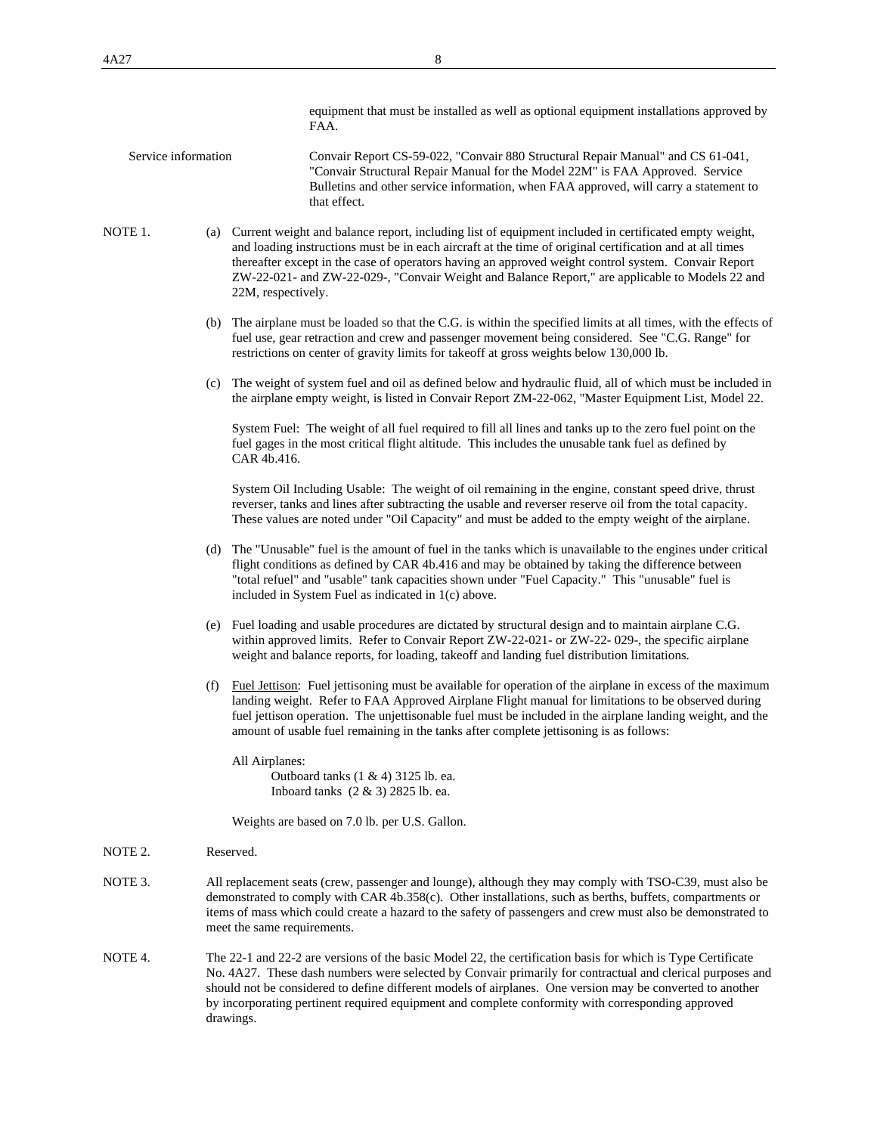| equipment that must be installed as well as optional equipment installations approved by |
|------------------------------------------------------------------------------------------|
| FAA.                                                                                     |

- Service information Convair Report CS-59-022, "Convair 880 Structural Repair Manual" and CS 61-041, "Convair Structural Repair Manual for the Model 22M" is FAA Approved. Service Bulletins and other service information, when FAA approved, will carry a statement to that effect.
- NOTE 1. (a) Current weight and balance report, including list of equipment included in certificated empty weight, and loading instructions must be in each aircraft at the time of original certification and at all times thereafter except in the case of operators having an approved weight control system. Convair Report ZW-22-021- and ZW-22-029-, "Convair Weight and Balance Report," are applicable to Models 22 and 22M, respectively.
	- (b) The airplane must be loaded so that the C.G. is within the specified limits at all times, with the effects of fuel use, gear retraction and crew and passenger movement being considered. See "C.G. Range" for restrictions on center of gravity limits for takeoff at gross weights below 130,000 lb.
	- (c) The weight of system fuel and oil as defined below and hydraulic fluid, all of which must be included in the airplane empty weight, is listed in Convair Report ZM-22-062, "Master Equipment List, Model 22.

 System Fuel: The weight of all fuel required to fill all lines and tanks up to the zero fuel point on the fuel gages in the most critical flight altitude. This includes the unusable tank fuel as defined by CAR 4b.416.

 System Oil Including Usable: The weight of oil remaining in the engine, constant speed drive, thrust reverser, tanks and lines after subtracting the usable and reverser reserve oil from the total capacity. These values are noted under "Oil Capacity" and must be added to the empty weight of the airplane.

- (d) The "Unusable" fuel is the amount of fuel in the tanks which is unavailable to the engines under critical flight conditions as defined by CAR 4b.416 and may be obtained by taking the difference between "total refuel" and "usable" tank capacities shown under "Fuel Capacity." This "unusable" fuel is included in System Fuel as indicated in 1(c) above.
- (e) Fuel loading and usable procedures are dictated by structural design and to maintain airplane C.G. within approved limits. Refer to Convair Report ZW-22-021- or ZW-22- 029-, the specific airplane weight and balance reports, for loading, takeoff and landing fuel distribution limitations.
- (f) Fuel Jettison: Fuel jettisoning must be available for operation of the airplane in excess of the maximum landing weight. Refer to FAA Approved Airplane Flight manual for limitations to be observed during fuel jettison operation. The unjettisonable fuel must be included in the airplane landing weight, and the amount of usable fuel remaining in the tanks after complete jettisoning is as follows:

 All Airplanes: Outboard tanks (1 & 4) 3125 lb. ea. Inboard tanks (2 & 3) 2825 lb. ea.

Weights are based on 7.0 lb. per U.S. Gallon.

- NOTE 2. Reserved.
- NOTE 3. All replacement seats (crew, passenger and lounge), although they may comply with TSO-C39, must also be demonstrated to comply with CAR 4b.358(c). Other installations, such as berths, buffets, compartments or items of mass which could create a hazard to the safety of passengers and crew must also be demonstrated to meet the same requirements.
- NOTE 4. The 22-1 and 22-2 are versions of the basic Model 22, the certification basis for which is Type Certificate No. 4A27. These dash numbers were selected by Convair primarily for contractual and clerical purposes and should not be considered to define different models of airplanes. One version may be converted to another by incorporating pertinent required equipment and complete conformity with corresponding approved drawings.